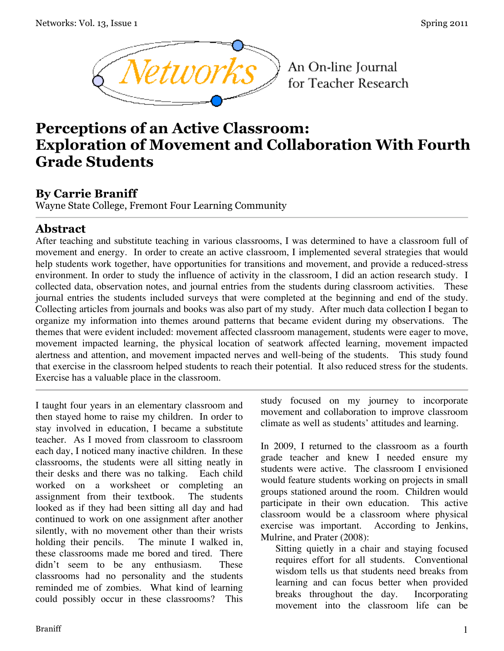

An On-line Journal for Teacher Research

# **Perceptions of an Active Classroom: Exploration of Movement and Collaboration With Fourth Grade Students**

### **By Carrie Braniff**

Wayne State College, Fremont Four Learning Community

### **Abstract**

After teaching and substitute teaching in various classrooms, I was determined to have a classroom full of movement and energy. In order to create an active classroom, I implemented several strategies that would help students work together, have opportunities for transitions and movement, and provide a reduced-stress environment. In order to study the influence of activity in the classroom, I did an action research study. I collected data, observation notes, and journal entries from the students during classroom activities. These journal entries the students included surveys that were completed at the beginning and end of the study. Collecting articles from journals and books was also part of my study. After much data collection I began to organize my information into themes around patterns that became evident during my observations. The themes that were evident included: movement affected classroom management, students were eager to move, movement impacted learning, the physical location of seatwork affected learning, movement impacted alertness and attention, and movement impacted nerves and well-being of the students. This study found that exercise in the classroom helped students to reach their potential. It also reduced stress for the students. Exercise has a valuable place in the classroom.

I taught four years in an elementary classroom and then stayed home to raise my children. In order to stay involved in education, I became a substitute teacher. As I moved from classroom to classroom each day, I noticed many inactive children. In these classrooms, the students were all sitting neatly in their desks and there was no talking. Each child worked on a worksheet or completing an assignment from their textbook. The students looked as if they had been sitting all day and had continued to work on one assignment after another silently, with no movement other than their wrists holding their pencils. The minute I walked in, these classrooms made me bored and tired. There didn't seem to be any enthusiasm. These classrooms had no personality and the students reminded me of zombies. What kind of learning could possibly occur in these classrooms? This study focused on my journey to incorporate movement and collaboration to improve classroom climate as well as students' attitudes and learning.

In 2009, I returned to the classroom as a fourth grade teacher and knew I needed ensure my students were active. The classroom I envisioned would feature students working on projects in small groups stationed around the room. Children would participate in their own education. This active classroom would be a classroom where physical exercise was important. According to Jenkins, Mulrine, and Prater (2008):

Sitting quietly in a chair and staying focused requires effort for all students. Conventional wisdom tells us that students need breaks from learning and can focus better when provided breaks throughout the day. Incorporating movement into the classroom life can be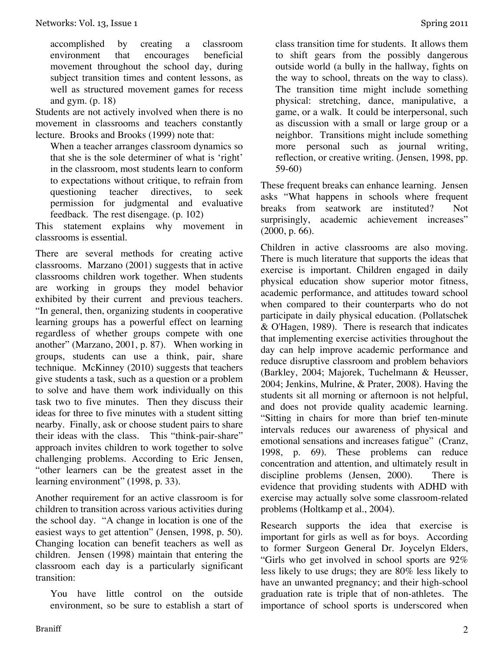accomplished by creating a classroom environment that encourages beneficial movement throughout the school day, during subject transition times and content lessons, as well as structured movement games for recess and gym. (p. 18)

Students are not actively involved when there is no movement in classrooms and teachers constantly lecture.Brooks and Brooks (1999) note that:

When a teacher arranges classroom dynamics so that she is the sole determiner of what is 'right' in the classroom, most students learn to conform to expectations without critique, to refrain from questioning teacher directives, to seek permission for judgmental and evaluative feedback. The rest disengage. (p. 102)

This statement explains why movement in classrooms is essential.

There are several methods for creating active classrooms. Marzano (2001) suggests that in active classrooms children work together. When students are working in groups they model behavior exhibited by their current and previous teachers. "In general, then, organizing students in cooperative learning groups has a powerful effect on learning regardless of whether groups compete with one another" (Marzano, 2001, p. 87). When working in groups, students can use a think, pair, share technique. McKinney (2010) suggests that teachers give students a task, such as a question or a problem to solve and have them work individually on this task two to five minutes. Then they discuss their ideas for three to five minutes with a student sitting nearby. Finally, ask or choose student pairs to share their ideas with the class. This "think-pair-share" approach invites children to work together to solve challenging problems. According to Eric Jensen, "other learners can be the greatest asset in the learning environment" (1998, p. 33).

Another requirement for an active classroom is for children to transition across various activities during the school day. "A change in location is one of the easiest ways to get attention" (Jensen, 1998, p. 50). Changing location can benefit teachers as well as children. Jensen (1998) maintain that entering the classroom each day is a particularly significant transition:

You have little control on the outside environment, so be sure to establish a start of class transition time for students. It allows them to shift gears from the possibly dangerous outside world (a bully in the hallway, fights on the way to school, threats on the way to class). The transition time might include something physical: stretching, dance, manipulative, a game, or a walk. It could be interpersonal, such as discussion with a small or large group or a neighbor. Transitions might include something more personal such as journal writing, reflection, or creative writing. (Jensen, 1998, pp. 59-60)

These frequent breaks can enhance learning. Jensen asks "What happens in schools where frequent breaks from seatwork are instituted? Not surprisingly, academic achievement increases" (2000, p. 66).

Children in active classrooms are also moving. There is much literature that supports the ideas that exercise is important. Children engaged in daily physical education show superior motor fitness, academic performance, and attitudes toward school when compared to their counterparts who do not participate in daily physical education. (Pollatschek & O'Hagen, 1989). There is research that indicates that implementing exercise activities throughout the day can help improve academic performance and reduce disruptive classroom and problem behaviors (Barkley, 2004; Majorek, Tuchelmann & Heusser, 2004; Jenkins, Mulrine, & Prater, 2008). Having the students sit all morning or afternoon is not helpful, and does not provide quality academic learning. "Sitting in chairs for more than brief ten-minute intervals reduces our awareness of physical and emotional sensations and increases fatigue" (Cranz, 1998, p. 69). These problems can reduce concentration and attention, and ultimately result in discipline problems (Jensen, 2000). There is evidence that providing students with ADHD with exercise may actually solve some classroom-related problems (Holtkamp et al., 2004).

Research supports the idea that exercise is important for girls as well as for boys. According to former Surgeon General Dr. Joycelyn Elders, "Girls who get involved in school sports are 92% less likely to use drugs; they are 80% less likely to have an unwanted pregnancy; and their high-school graduation rate is triple that of non-athletes. The importance of school sports is underscored when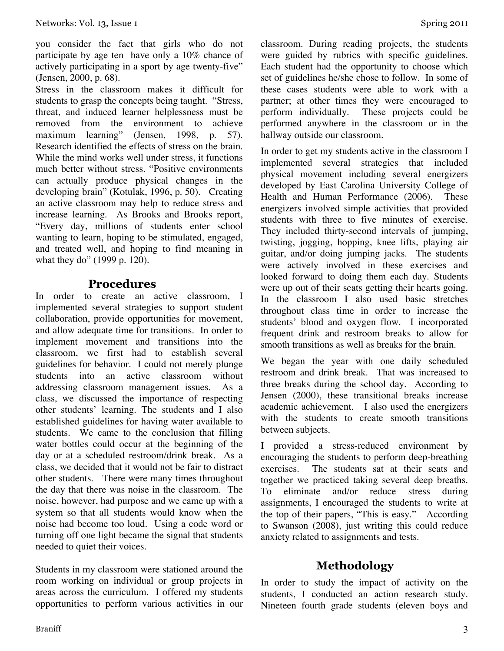you consider the fact that girls who do not participate by age ten have only a 10% chance of actively participating in a sport by age twenty-five" (Jensen, 2000, p. 68).

Stress in the classroom makes it difficult for students to grasp the concepts being taught. "Stress, threat, and induced learner helplessness must be removed from the environment to achieve maximum learning" (Jensen, 1998, p. 57). Research identified the effects of stress on the brain. While the mind works well under stress, it functions much better without stress. "Positive environments can actually produce physical changes in the developing brain" (Kotulak, 1996, p. 50). Creating an active classroom may help to reduce stress and increase learning. As Brooks and Brooks report, "Every day, millions of students enter school wanting to learn, hoping to be stimulated, engaged, and treated well, and hoping to find meaning in what they do" (1999 p. 120).

#### **Procedures**

In order to create an active classroom I implemented several strategies to support student collaboration, provide opportunities for movement, and allow adequate time for transitions. In order to implement movement and transitions into the classroom, we first had to establish several guidelines for behavior. I could not merely plunge students into an active classroom without addressing classroom management issues. As a class, we discussed the importance of respecting other students' learning. The students and I also established guidelines for having water available to students. We came to the conclusion that filling water bottles could occur at the beginning of the day or at a scheduled restroom/drink break. As a class, we decided that it would not be fair to distract other students. There were many times throughout the day that there was noise in the classroom. The noise, however, had purpose and we came up with a system so that all students would know when the noise had become too loud. Using a code word or turning off one light became the signal that students needed to quiet their voices.

Students in my classroom were stationed around the room working on individual or group projects in areas across the curriculum. I offered my students opportunities to perform various activities in our classroom. During reading projects, the students were guided by rubrics with specific guidelines. Each student had the opportunity to choose which set of guidelines he/she chose to follow. In some of these cases students were able to work with a partner; at other times they were encouraged to perform individually. These projects could be performed anywhere in the classroom or in the hallway outside our classroom.

In order to get my students active in the classroom I implemented several strategies that included physical movement including several energizers developed by East Carolina University College of Health and Human Performance (2006). These energizers involved simple activities that provided students with three to five minutes of exercise. They included thirty-second intervals of jumping, twisting, jogging, hopping, knee lifts, playing air guitar, and/or doing jumping jacks. The students were actively involved in these exercises and looked forward to doing them each day. Students were up out of their seats getting their hearts going. In the classroom I also used basic stretches throughout class time in order to increase the students' blood and oxygen flow. I incorporated frequent drink and restroom breaks to allow for smooth transitions as well as breaks for the brain.

We began the year with one daily scheduled restroom and drink break. That was increased to three breaks during the school day. According to Jensen (2000), these transitional breaks increase academic achievement. I also used the energizers with the students to create smooth transitions between subjects.

I provided a stress-reduced environment by encouraging the students to perform deep-breathing exercises. The students sat at their seats and together we practiced taking several deep breaths. To eliminate and/or reduce stress during assignments, I encouraged the students to write at the top of their papers, "This is easy." According to Swanson (2008), just writing this could reduce anxiety related to assignments and tests.

### **Methodology**

In order to study the impact of activity on the students, I conducted an action research study. Nineteen fourth grade students (eleven boys and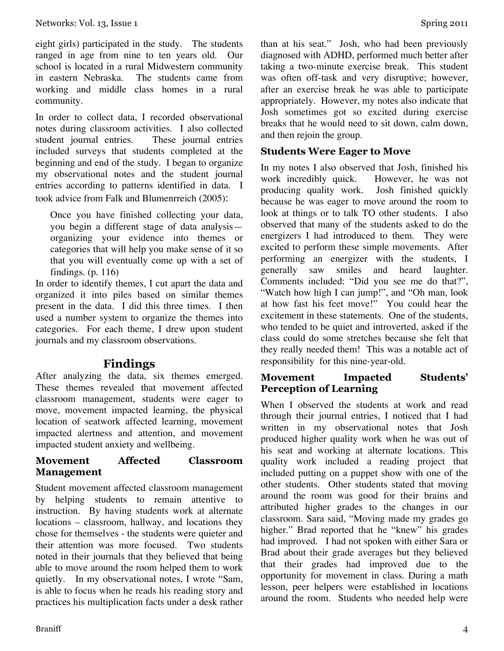eight girls) participated in the study. The students ranged in age from nine to ten years old. Our school is located in a rural Midwestern community in eastern Nebraska. The students came from working and middle class homes in a rural community.

In order to collect data, I recorded observational notes during classroom activities. I also collected<br>student journal entries. These journal entries student journal entries. included surveys that students completed at the beginning and end of the study. I began to organize my observational notes and the student journal entries according to patterns identified in data. I took advice from Falk and Blumenrreich (2005):

Once you have finished collecting your data, you begin a different stage of data analysis organizing your evidence into themes or categories that will help you make sense of it so that you will eventually come up with a set of findings. (p. 116)

In order to identify themes, I cut apart the data and organized it into piles based on similar themes present in the data. I did this three times. I then used a number system to organize the themes into categories. For each theme, I drew upon student journals and my classroom observations.

#### **Findings**

After analyzing the data, six themes emerged. These themes revealed that movement affected classroom management, students were eager to move, movement impacted learning, the physical location of seatwork affected learning, movement impacted alertness and attention, and movement impacted student anxiety and wellbeing.

#### **Movement Affected Classroom Management**

Student movement affected classroom management by helping students to remain attentive to instruction. By having students work at alternate locations – classroom, hallway, and locations they chose for themselves - the students were quieter and their attention was more focused. Two students noted in their journals that they believed that being able to move around the room helped them to work quietly. In my observational notes, I wrote "Sam, is able to focus when he reads his reading story and practices his multiplication facts under a desk rather than at his seat." Josh, who had been previously diagnosed with ADHD, performed much better after taking a two-minute exercise break. This student was often off-task and very disruptive; however, after an exercise break he was able to participate appropriately. However, my notes also indicate that Josh sometimes got so excited during exercise breaks that he would need to sit down, calm down, and then rejoin the group.

#### **Students Were Eager to Move**

In my notes I also observed that Josh, finished his work incredibly quick. However, he was not producing quality work. Josh finished quickly because he was eager to move around the room to look at things or to talk TO other students. I also observed that many of the students asked to do the energizers I had introduced to them. They were excited to perform these simple movements. After performing an energizer with the students, I generally saw smiles and heard laughter. Comments included: "Did you see me do that?", "Watch how high I can jump!", and "Oh man, look at how fast his feet move!" You could hear the excitement in these statements. One of the students, who tended to be quiet and introverted, asked if the class could do some stretches because she felt that they really needed them! This was a notable act of responsibility for this nine-year-old.

#### **Movement Impacted Students' Perception of Learning**

When I observed the students at work and read through their journal entries, I noticed that I had written in my observational notes that Josh produced higher quality work when he was out of his seat and working at alternate locations. This quality work included a reading project that included putting on a puppet show with one of the other students. Other students stated that moving around the room was good for their brains and attributed higher grades to the changes in our classroom. Sara said, "Moving made my grades go higher." Brad reported that he "knew" his grades had improved. I had not spoken with either Sara or Brad about their grade averages but they believed that their grades had improved due to the opportunity for movement in class. During a math lesson, peer helpers were established in locations around the room. Students who needed help were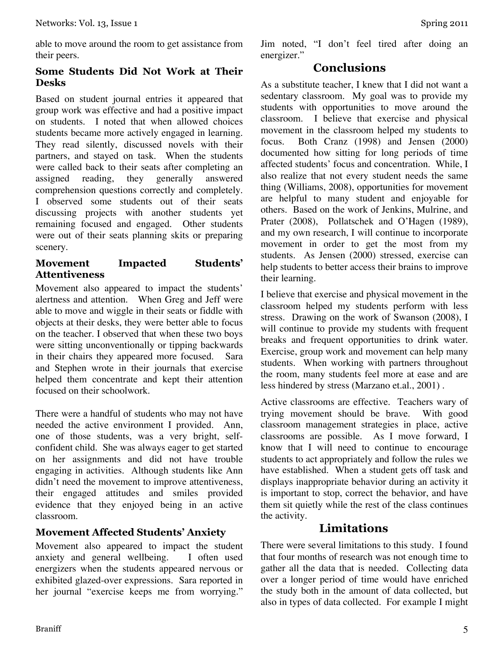#### **Some Students Did Not Work at Their Desks**

Based on student journal entries it appeared that group work was effective and had a positive impact on students. I noted that when allowed choices students became more actively engaged in learning. They read silently, discussed novels with their partners, and stayed on task. When the students were called back to their seats after completing an assigned reading, they generally answered comprehension questions correctly and completely. I observed some students out of their seats discussing projects with another students yet remaining focused and engaged. Other students were out of their seats planning skits or preparing scenery.

#### **Movement Impacted Students' Attentiveness**

Movement also appeared to impact the students' alertness and attention. When Greg and Jeff were able to move and wiggle in their seats or fiddle with objects at their desks, they were better able to focus on the teacher. I observed that when these two boys were sitting unconventionally or tipping backwards in their chairs they appeared more focused. Sara and Stephen wrote in their journals that exercise helped them concentrate and kept their attention focused on their schoolwork.

There were a handful of students who may not have needed the active environment I provided. Ann, one of those students, was a very bright, selfconfident child. She was always eager to get started on her assignments and did not have trouble engaging in activities. Although students like Ann didn't need the movement to improve attentiveness, their engaged attitudes and smiles provided evidence that they enjoyed being in an active classroom.

### **Movement Affected Students' Anxiety**

Movement also appeared to impact the student anxiety and general wellbeing. I often used energizers when the students appeared nervous or exhibited glazed-over expressions. Sara reported in her journal "exercise keeps me from worrying."

### **Conclusions**

As a substitute teacher, I knew that I did not want a sedentary classroom. My goal was to provide my students with opportunities to move around the classroom. I believe that exercise and physical movement in the classroom helped my students to focus. Both Cranz (1998) and Jensen (2000) documented how sitting for long periods of time affected students' focus and concentration. While, I also realize that not every student needs the same thing (Williams, 2008), opportunities for movement are helpful to many student and enjoyable for others. Based on the work of Jenkins, Mulrine, and Prater (2008), Pollatschek and O'Hagen (1989), and my own research, I will continue to incorporate movement in order to get the most from my students. As Jensen (2000) stressed, exercise can help students to better access their brains to improve their learning.

I believe that exercise and physical movement in the classroom helped my students perform with less stress. Drawing on the work of Swanson (2008), I will continue to provide my students with frequent breaks and frequent opportunities to drink water. Exercise, group work and movement can help many students. When working with partners throughout the room, many students feel more at ease and are less hindered by stress (Marzano et.al., 2001) .

Active classrooms are effective. Teachers wary of trying movement should be brave. With good classroom management strategies in place, active classrooms are possible. As I move forward, I know that I will need to continue to encourage students to act appropriately and follow the rules we have established. When a student gets off task and displays inappropriate behavior during an activity it is important to stop, correct the behavior, and have them sit quietly while the rest of the class continues the activity.

## **Limitations**

There were several limitations to this study. I found that four months of research was not enough time to gather all the data that is needed. Collecting data over a longer period of time would have enriched the study both in the amount of data collected, but also in types of data collected. For example I might